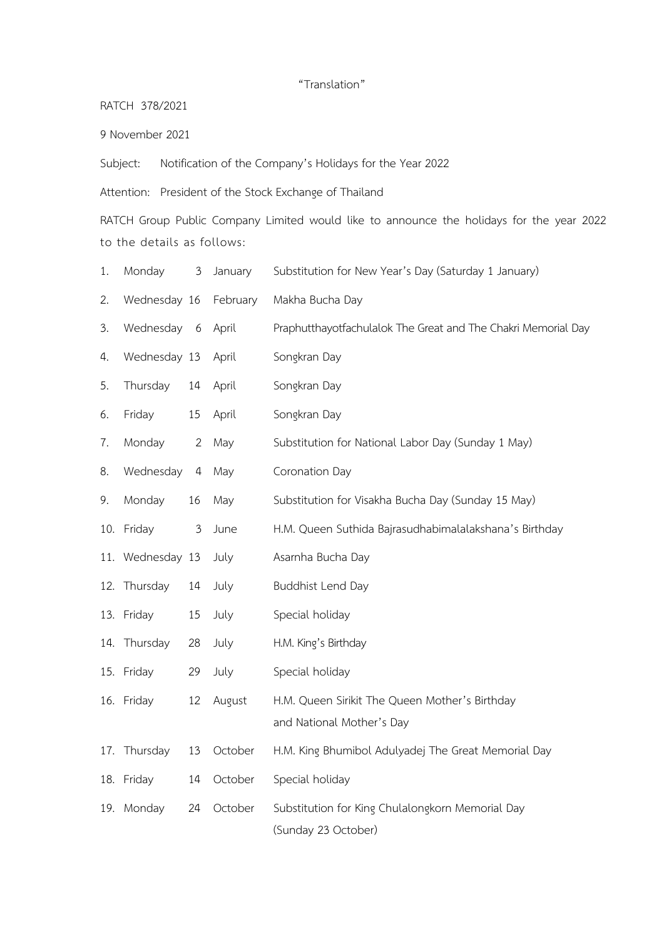## "Translation"

RATCH 378/2021

9 November 2021

Subject: Notification of the Company's Holidays for the Year 2022

Attention: President of the Stock Exchange of Thailand

RATCH Group Public Company Limited would like to announce the holidays for the year 2022 to the details as follows:

- 1. Monday 3 January Substitution for New Year's Day (Saturday 1 January)
- 2. Wednesday 16 February Makha Bucha Day
- 3. Wednesday 6 April Praphutthayotfachulalok The Great and The Chakri Memorial Day
- 4. Wednesday 13 April Songkran Day
- 5. Thursday 14 April Songkran Day
- 6. Friday 15 April Songkran Day

8. Wednesday 4 May Coronation Day

- 7. Monday 2 May Substitution for National Labor Day (Sunday 1 May)
- 9. Monday 16 May Substitution for Visakha Bucha Day (Sunday 15 May)
- 10. Friday 3 June H.M. Queen Suthida Bajrasudhabimalalakshana's Birthday
- 11. Wednesday 13 July Asarnha Bucha Day
- 12. Thursday 14 July Buddhist Lend Day
- 13. Friday 15 July Special holiday
- 14. Thursday 28 July H.M. King's Birthday
- 15. Friday 29 July Special holiday
- 16. Friday 12 August H.M. Queen Sirikit The Queen Mother's Birthday and National Mother's Day
- 17. Thursday 13 October H.M. King Bhumibol Adulyadej The Great Memorial Day
- 18. Friday 14 October Special holiday
- 19. Monday 24 October Substitution for King Chulalongkorn Memorial Day (Sunday 23 October)